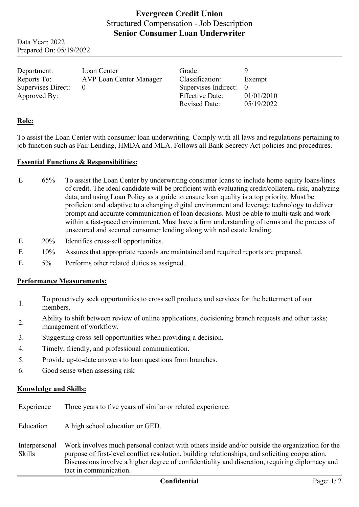# **Evergreen Credit Union** Structured Compensation - Job Description **Senior Consumer Loan Underwriter**

Data Year: 2022 Prepared On: 05/19/2022

| Department:        | Loan Center             | Grade:                 |            |
|--------------------|-------------------------|------------------------|------------|
| Reports To:        | AVP Loan Center Manager | Classification:        | Exempt     |
| Supervises Direct: |                         | Supervises Indirect: 0 |            |
| Approved By:       |                         | <b>Effective Date:</b> | 01/01/2010 |
|                    |                         | <b>Revised Date:</b>   | 05/19/2022 |

## **Role:**

To assist the Loan Center with consumer loan underwriting. Comply with all laws and regulations pertaining to job function such as Fair Lending, HMDA and MLA. Follows all Bank Secrecy Act policies and procedures.

#### **Essential Functions & Responsibilities:**

- E 65% To assist the Loan Center by underwriting consumer loans to include home equity loans/lines of credit. The ideal candidate will be proficient with evaluating credit/collateral risk, analyzing data, and using Loan Policy as a guide to ensure loan quality is a top priority. Must be proficient and adaptive to a changing digital environment and leverage technology to deliver prompt and accurate communication of loan decisions. Must be able to multi-task and work within a fast-paced environment. Must have a firm understanding of terms and the process of unsecured and secured consumer lending along with real estate lending.
- E 20% Identifies cross-sell opportunities.
- E 10% Assures that appropriate records are maintained and required reports are prepared.
- E 5% Performs other related duties as assigned.

### **Performance Measurements:**

- 1. To proactively seek opportunities to cross sell products and services for the betterment of our members.
- 2. Ability to shift between review of online applications, decisioning branch requests and other tasks; management of workflow.
- 3. Suggesting cross-sell opportunities when providing a decision.
- 4. Timely, friendly, and professional communication.
- 5. Provide up-to-date answers to loan questions from branches.
- 6. Good sense when assessing risk

#### **Knowledge and Skills:**

Experience Three years to five years of similar or related experience.

Education A high school education or GED.

Interpersonal Skills Work involves much personal contact with others inside and/or outside the organization for the purpose of first-level conflict resolution, building relationships, and soliciting cooperation. Discussions involve a higher degree of confidentiality and discretion, requiring diplomacy and tact in communication.